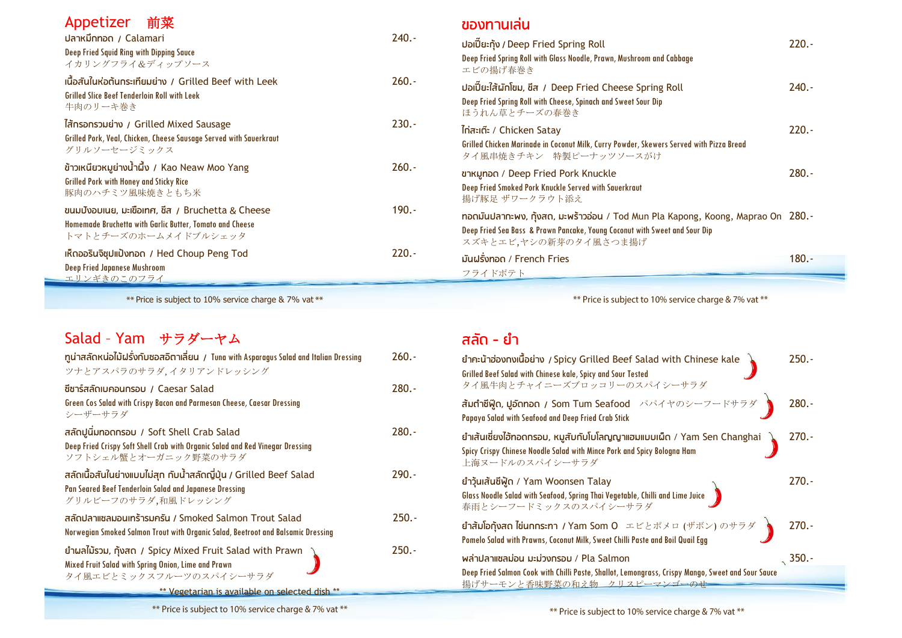#### Appetizer 前菜

| ปลาหมึกทอด / Calamari                                                                                                                | $240. -$ |
|--------------------------------------------------------------------------------------------------------------------------------------|----------|
| <b>Deep Fried Squid Ring with Dipping Sauce</b><br>イカリングフライ&ディップソース                                                                  |          |
| เนื้อสันในห่อต้นกระเทียมย่าง / Grilled Beef with Leek<br><b>Grilled Slice Beef Tenderloin Roll with Leek</b><br>牛肉のリーキ巻き             | $260.-$  |
| ไส้ทรอกรวมย่าง / Grilled Mixed Sausage<br>Grilled Pork, Veal, Chicken, Cheese Sausage Served with Sauerkraut<br>グリルソーセージミックス         | $230.-$  |
| ้ข้าวเหนียวหมูย่างน้ำผึ้ง / Kao Neaw Moo Yang<br><b>Grilled Pork with Honey and Sticky Rice</b><br>豚肉のハチミツ風味焼きともち米                   | $260.-$  |
| ขนมปังอบเนย, มะเขือเทศ, ชีส / Bruchetta & Cheese<br>Homemade Bruchetta with Garlic Butter, Tomato and Cheese<br>トマトとチーズのホームメイドブルシェッタ | $190. -$ |
| เห็ดออรินจิชุปแป้งทอด / Hed Choup Peng Tod<br><b>Deep Fried Japanese Mushroom</b><br>エリンギきのこのフライ                                     | $220. -$ |

 $**$  Price is subject to 10% service charge & 7% vat  $**$ 

# Salad – Yam サラダーヤム

| ทุน่าสลัดหน่อไม้ฝรั่งกับซอสอิตาเลี่ยน / Tuna with Asparagus Salad and Italian Dressing<br>ツナとアスパラのサラダ、イタリアンドレッシング                                   | $260.-$  |
|-----------------------------------------------------------------------------------------------------------------------------------------------------|----------|
| ี่ชีซาร์สลัดเบคอนทรอบ / Caesar Salad<br>Green Cos Salad with Crispy Bacon and Parmesan Cheese, Caesar Dressing<br>シーザーサラダ                           | $280. -$ |
| สลัดปูนิ่มทอดกรอบ / Soft Shell Crab Salad<br>Deep Fried Crispy Soft Shell Crab with Organic Salad and Red Vinegar Dressing<br>ソフトシェル蟹とオーガニック野菜のサラダ  | $280. -$ |
| สลัดเนื้อสันในย่างแบบไม่สุก กับน้ำสลัดญี่ปุ่น / Grilled Beef Salad<br>Pan Seared Beef Tenderloin Salad and Japanese Dressing<br>グリルビーフのサラダ,和風ドレッシング | $290. -$ |
| สลัดปลาแซลมอนเทร้ารมครัน / Smoked Salmon Trout Salad<br>Norwegian Smoked Salmon Trout with Organic Salad, Beetroot and Balsamic Dressing            | $250.-$  |
| ยำผลไม้รวม, กุ้งสถ / Spicy Mixed Fruit Salad with Prawn<br>Mixed Fruit Salad with Spring Onion, Lime and Prawn<br>タイ風エビとミックスフルーツのスパイシーサラダ           | $250. -$ |
| ** Vegetarian is available on selected dish **                                                                                                      |          |

#### \*\* Price is subject to 10% service charge & 7% vat \*\*

| ยำคะน้าฮ่องทงเนื้อย่าง / Spicy Grilled Beef Salad with Chinese kale<br>Grilled Beef Salad with Chinese kale, Spicy and Sour Tested<br>タイ風牛肉とチャイニーズブロッコリーのスパイシーサラダ                                               | $250. -$        |
|-----------------------------------------------------------------------------------------------------------------------------------------------------------------------------------------------------------------|-----------------|
| <b>สัมทำซีพู๊ด, ปูอัดทอด / Som Tum Seafood</b> パパイヤのシーフードサラダ <mark>)</mark> 280.-<br>Papaya Salad with Seafood and Deep Fried Crab Stick                                                                        |                 |
| ่ ยำเส้นเซียงไฮ้ทอดกรอบ, หมูสับกับโบโลญญาแฮมแบบเผ็ด / Yam Sen Changhai<br>Spicy Crispy Chinese Noodle Salad with Mince Pork and Spicy Bologna Ham<br>上海ヌードルのスパイシーサラダ                                            | $270. -$        |
| ยำวุ้นเส้นซีฟู้ด / Yam Woonsen Talay<br>Glass Noodle Salad with Seafood, Spring Thai Vegetable, Chilli and Lime Juice<br>春雨とシーフードミックスのスパイシーサラダ                                                                  | $270. -$        |
| ีย <b>ำสัมโอกุ้งสด ไข่นกกระทา / Yam Som 0</b> エビとポメロ (ザボン) のサラダ $\left\{ \begin{array}{ccc} 270.5 & 0 & 0 \end{array} \right.$<br>Pomelo Salad with Prawns, Coconut Milk, Sweet Chilli Paste and Boil Quail Egg |                 |
| พล่าปลาแซลม่อน มะม่วงกรอบ / Pla Salmon                                                                                                                                                                          | $\frac{350}{2}$ |
| Deep Fried Salmon Cook with Chilli Paste, Shallot, Lemongrass, Crispy Mango, Sweet and Sour Sauce<br>揚げサーモンと香味野菜の和え物 クリスピーマンゴーのせ                                                                                |                 |

# **ของทานเล่น**

| ปอเปี๊ยะกุ้ง / Deep Fried Spring Roll<br>Deep Fried Spring Roll with Glass Noodle, Prawn, Mushroom and Cabbage<br>エビの揚げ春巻き                                                             | $220. -$ |
|----------------------------------------------------------------------------------------------------------------------------------------------------------------------------------------|----------|
| ปอเปี๊ยะใส้ผักโขม, ชีส / Deep Fried Cheese Spring Roll<br>Deep Fried Spring Roll with Cheese, Spinach and Sweet Sour Dip<br>ほうれん草とチーズの春巻き                                              | $240. -$ |
| <u> Inaะเต๊ะ</u> / Chicken Satay<br>Grilled Chicken Marinade in Coconut Milk, Curry Powder, Skewers Served with Pizza Bread<br>タイ風串焼きチキン 特製ピーナッツソースがけ                                  | $220. -$ |
| <b>ขาหมูทอด / Deep Fried Pork Knuckle</b><br>Deep Fried Smoked Pork Knuckle Served with Sauerkraut<br>揚げ豚足 ザワークラウト添え                                                                   | $280.-$  |
| ทอดมันปลาทะพง, ทุ้งสด, มะพร้าวอ่อน / Tod Mun Pla Kapong, Koong, Maprao On 280.-<br>Deep Fried Sea Bass & Prawn Pancake, Young Coconut with Sweet and Sour Dip<br>スズキとエビ,ヤシの新芽のタイ風さつま揚げ |          |
| มันฝรั่งทอด / French Fries<br>フライドポテト                                                                                                                                                  | 180.-    |

\*\* Price is subject to 10% service charge & 7% vat \*\*

# **สลัด - ม้า**

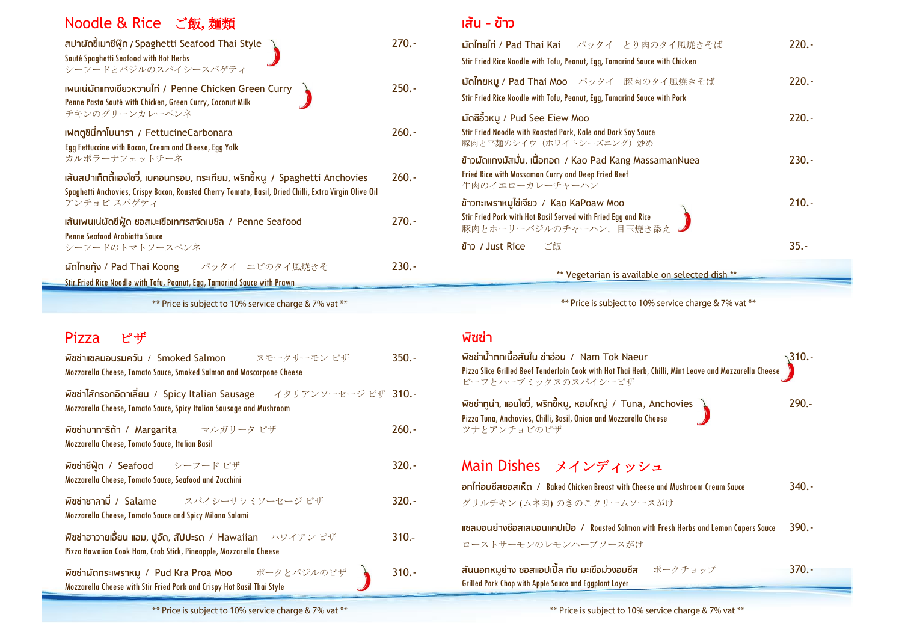| Noodle & Rice ご飯, 麺類                                                                                                                                                                                  |         |
|-------------------------------------------------------------------------------------------------------------------------------------------------------------------------------------------------------|---------|
| สปาผัดขี้เมาซีฟู๊ด / Spaghetti Seafood Thai Style<br>Sauté Spaghetti Seafood with Hot Herbs<br>シーフードとバジルのスパイシースパゲティ                                                                                   | $270.-$ |
| เพนเน่ผัดแกงเขียวหวานไก่ / Penne Chicken Green Curry<br>Penne Pasta Sauté with Chicken, Green Curry, Coconut Milk<br>チキンのグリーンカレーペンネ                                                                   | $250.-$ |
| เฟตตูชินี้คาโบนารา / FettucineCarbonara<br>Egg Fettuccine with Bacon, Cream and Cheese, Egg Yolk<br>カルボラーナフェットチーネ                                                                                     | $260.-$ |
| เส้นสปาเก็ตตี้แองโชวี่, เบคอนกรอบ, กระเทียม, พริกขี้หนู / Spaghetti Anchovies<br>Spaghetti Anchovies, Crispy Bacon, Roasted Cherry Tomato, Basil, Dried Chilli, Extra Virgin Olive Oil<br>アンチョビ スパゲティ | $260.-$ |
| เส้นเพนเน่มัดซีฟู้ด ซอสมะเขือเทศรสจัดเบซิล / Penne Seafood<br><b>Penne Seafood Arabiatta Sauce</b><br>シーフードのトマトソースペンネ                                                                                 | $270.-$ |
| unnunun / Pad Thai Koong パッタイ エビのタイ風焼きそ                                                                                                                                                               | $230.-$ |
| Stir Fried Rice Noodle with Tofu, Peanut, Egg, Tamarind Sauce with Prawn                                                                                                                              |         |

\*\* Price is subject to 10% service charge & 7% vat \*\*

### Pizza ピザ

| Wadnianousunou / Smoked Salmon スモークサーモンピザ<br>Mozzarella Cheese, Tomato Sauce, Smoked Salmon and Mascarpone Cheese                 | $350.-$  |
|-----------------------------------------------------------------------------------------------------------------------------------|----------|
| Wadhlansonomiau / Spicy Italian Sausage イタリアンソーセージピザ 310.-<br>Mozzarella Cheese, Tomato Sauce, Spicy Italian Sausage and Mushroom |          |
| Wad unn3ต้า / Margarita マルガリータピザ<br>Mozzarella Cheese, Tomato Sauce, Italian Basil                                                | $260. -$ |
| พืชช่าชีฟู้ด / Seafood シーフードピザ<br>Mozzarella Cheese, Tomato Sauce, Seafood and Zucchini                                           | $320. -$ |
| Wadnanni / Salame スパイシーサラミソーセージピザ<br>Mozzarella Cheese, Tomato Sauce and Spicy Milano Salami                                      | $320. -$ |
| พืชช่าฮาวายเอี้ยน แฮม, ปูอัด, สัปปะรด / Hawaiian ハワイアンピザ<br>Pizza Hawaiian Cook Ham, Crab Stick, Pineapple, Mozzarella Cheese     | $310 -$  |
| Wadin Wons: IWSIKU / Pud Kra Proa Moo ポークとバジルのピザー<br>Mozzarella Cheese with Stir Fried Pork and Crispy Hot Basil Thai Style       | $310.-$  |

### **เส้น - ข้าว**

| <b>ผัดไทยไก่ / Pad Thai Kai</b> パッタイ とり肉のタイ風焼きそば<br>Stir Fried Rice Noodle with Tofu, Peanut, Egg, Tamarind Sauce with Chicken                                                | $220. -$ |
|-------------------------------------------------------------------------------------------------------------------------------------------------------------------------------|----------|
| <b>ωσιΓηθικη / Pad Thai Moo</b> パッタイ 豚肉のタイ風焼きそば<br>Stir Fried Rice Noodle with Tofu, Peanut, Egg, Tamarind Sauce with Pork                                                    | $220. -$ |
| ผัดซีอิ้วหมู / Pud See Eiew Moo<br>Stir Fried Noodle with Roasted Pork, Kale and Dark Soy Sauce<br>豚肉と平麺のシイウ(ホワイトシーズニング)炒め                                                    | $220. -$ |
| ข้าวผัดแกงมัสมั่น, เนื้อทอด / Kao Pad Kang MassamanNuea<br><b>Fried Rice with Massaman Curry and Deep Fried Beef</b><br>牛肉のイエローカレーチャーハン                                       | $230. -$ |
| ี่ ข้าวทะเพราหมูไข่เจียว / Kao KaPoaw Moo<br>Stir Fried Pork with Hot Basil Served with Fried Egg and Rice<br>豚肉とホーリーバジルのチャーハン、目玉焼き添え。                                        | $210.-$  |
| ข้าว / Just Rice<br>ご飯                                                                                                                                                        | $35. -$  |
| ** Vegetarian is available on selected dish **                                                                                                                                |          |
| ** Price is subject to 10% service charge & 7% vat **                                                                                                                         |          |
| พิซซ่า                                                                                                                                                                        |          |
| พิซซ่าน้ำตกเนื้อสันใน ข่าอ่อน / Nam Tok Naeur<br>Pizza Slice Grilled Beef Tenderloin Cook with Hot Thai Herb, Chilli, Mint Leave and Mozzarella Cheese<br>ビーフとハーブミックスのスパイシーピザ | .310.-   |
| พิซซ่าทูน่า, แอนโชวี่, พริกขี้หนู, หอมใหญ่ / Tuna, Anchovies<br>Pizza Tuna, Anchovies, Chilli, Basil, Onion and Mozzarella Cheese<br>ツナとアンチョビのピザ                              | $290 -$  |

# Main Dishes メインディッシュ

**อกไก่อบชีสซอสเห็ด** / Baked Chicken Breast with Cheese and Mushroom Cream Sauce 340.- グリルチキン (ムネ肉) のきのこクリームソースがけ

**แซลภอนม่างซ๊อสเลภอนแคปเป้อ** / Roasted Salmon with Fresh Herbs and Lemon Capers Sauce 390.- ローストサーモンのレモンハーブソースがけ

**สันนอกหภูม่าง ซอสแอปเปิ้ล กับ ภะเขือภ่วงอบชีส** ポークチョップ 370.- Grilled Pork Chop with Apple Sauce and Eggplant Layer